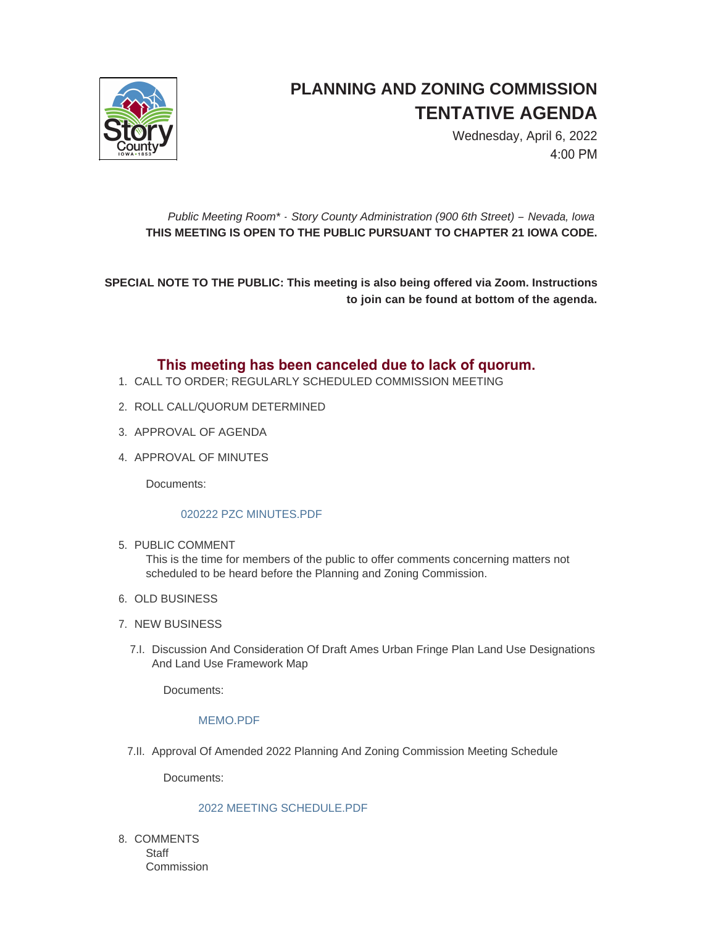

# **PLANNING AND ZONING COMMISSION TENTATIVE AGENDA**

Wednesday, April 6, 2022 4:00 PM

## *Public Meeting Room\* - Story County Administration (900 6th Street) – Nevada, Iowa* **THIS MEETING IS OPEN TO THE PUBLIC PURSUANT TO CHAPTER 21 IOWA CODE.**

**SPECIAL NOTE TO THE PUBLIC: This meeting is also being offered via Zoom. Instructions to join can be found at bottom of the agenda.**

## **This meeting has been canceled due to lack of quorum.**

- CALL TO ORDER; REGULARLY SCHEDULED COMMISSION MEETING 1.
- 2. ROLL CALL/QUORUM DETERMINED
- 3. APPROVAL OF AGENDA
- 4. APPROVAL OF MINUTES

Documents:

### [020222 PZC MINUTES.PDF](http://www.storycountyiowa.gov/AgendaCenter/ViewFile/Item/23871?fileID=17957)

5. PUBLIC COMMENT

This is the time for members of the public to offer comments concerning matters not scheduled to be heard before the Planning and Zoning Commission.

- 6. OLD BUSINESS
- 7. NEW BUSINESS
	- 7.I. Discussion And Consideration Of Draft Ames Urban Fringe Plan Land Use Designations And Land Use Framework Map

Documents:

#### [MEMO.PDF](http://www.storycountyiowa.gov/AgendaCenter/ViewFile/Item/23870?fileID=17959)

7.II. Approval Of Amended 2022 Planning And Zoning Commission Meeting Schedule

Documents:

#### [2022 MEETING SCHEDULE.PDF](http://www.storycountyiowa.gov/AgendaCenter/ViewFile/Item/23400?fileID=17714)

8. COMMENTS **Staff Commission**